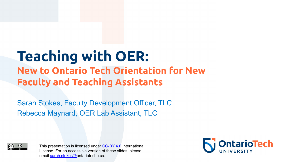### **Teaching with OER: New to Ontario Tech Orientation for New Faculty and Teaching Assistants**

Sarah Stokes, Faculty Development Officer, TLC Rebecca Maynard, OER Lab Assistant, TLC



This presentation is licensed under [CC-BY 4.0](https://creativecommons.org/licenses/by/4.0/) International License. For an accessible version of these slides, please email [sarah.stokes@o](mailto:sarah.stokes@uoit.ca)ntariotechu.ca.

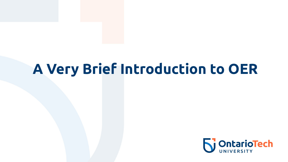### **A Very Brief Introduction to OER**

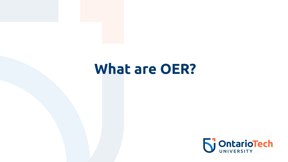### **What are OER?**

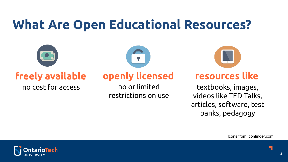### **What Are Open Educational Resources?**



#### **freely available**

no cost for access

![](_page_3_Picture_4.jpeg)

#### **openly licensed**

no or limited restrictions on use

#### **resources like**

textbooks, images, videos like TED Talks, articles, software, test banks, pedagogy

![](_page_3_Picture_11.jpeg)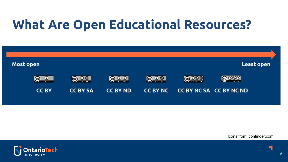# **What Are Open Educational Resources?**

![](_page_4_Figure_1.jpeg)

![](_page_4_Picture_3.jpeg)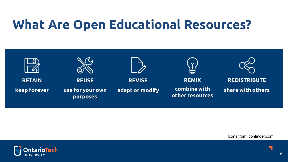### **What Are Open Educational Resources?**

![](_page_5_Figure_1.jpeg)

![](_page_5_Picture_3.jpeg)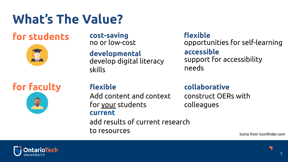### **What's The Value?**

### **for students**

![](_page_6_Picture_2.jpeg)

# **for faculty**

#### **cost-saving** no or low-cost

**developmental** develop digital literacy skills

#### **accessible** support for accessibility needs **flexible** opportunities for self-learning

#### **flexible**

Add content and context for your students **current** add results of current research to resources

#### **collaborative**

construct OERs with colleagues

![](_page_6_Picture_12.jpeg)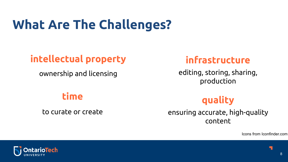# **What Are The Challenges?**

#### **intellectual property**

ownership and licensing

#### **time**

to curate or create

#### **infrastructure**

editing, storing, sharing, production

**quality** ensuring accurate, high-quality content

![](_page_7_Picture_9.jpeg)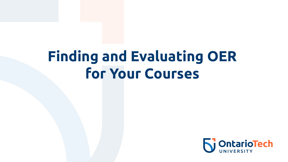# **Finding and Evaluating OER for Your Courses**

![](_page_8_Picture_1.jpeg)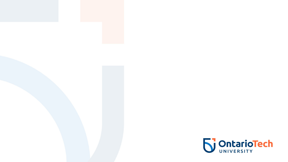![](_page_9_Picture_0.jpeg)

![](_page_9_Picture_1.jpeg)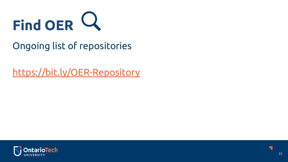![](_page_10_Picture_0.jpeg)

#### Ongoing list of repositories

https://bit.ly/OER-Repository

![](_page_10_Picture_3.jpeg)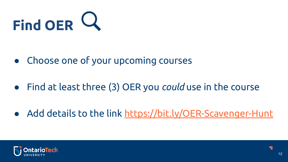![](_page_11_Picture_0.jpeg)

- Choose one of your upcoming courses
- Find at least three (3) OER you *could* use in the course
- Add details to the link https://bit.ly/OER-Scavenger-Hunt

![](_page_11_Picture_4.jpeg)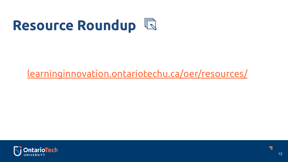# **Resource Roundup**

#### [learninginnovation.ontariotechu.ca/oer/resources/](https://learninginnovation.uoit.ca/oer/resources/index.php)

![](_page_12_Picture_2.jpeg)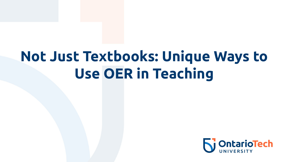# **Not Just Textbooks: Unique Ways to Use OER in Teaching**

![](_page_13_Picture_1.jpeg)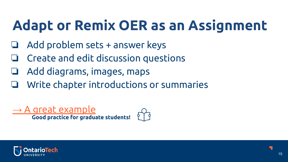# **Adapt or Remix OER as an Assignment**

- ❏ Add problem sets + answer keys
- ❏ Create and edit discussion questions
- ❏ Add diagrams, images, maps
- ❏ Write chapter introductions or summaries

![](_page_14_Picture_5.jpeg)

![](_page_14_Picture_6.jpeg)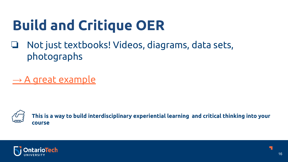# **Build and Critique OER**

❏ Not just textbooks! Videos, diagrams, data sets, photographs

 $\rightarrow$  [A great example](https://nobaproject.com/student-video-award/winners)

![](_page_15_Picture_3.jpeg)

**This is a way to build interdisciplinary experiential learning and critical thinking into your course**

![](_page_15_Picture_5.jpeg)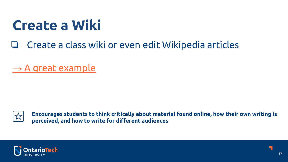# **Create a Wiki**

#### ❏ Create a class wiki or even edit Wikipedia articles

 $\rightarrow$  [A great example](https://wikiedu.org/blog/2016/04/05/medical-students-wikipedia/)

![](_page_16_Picture_3.jpeg)

**Encourages students to think critically about material found online, how their own writing is perceived, and how to write for different audiences**

![](_page_16_Picture_5.jpeg)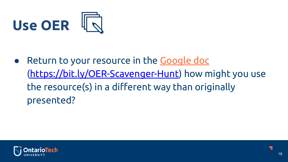![](_page_17_Picture_0.jpeg)

Return to your resource in the [Google doc](https://docs.google.com/document/d/1irrvBKC2HEd2ozm0IozCJdFmAcm_TdHdky6sgyCDjmo/edit?usp=sharing) [\(https://bit.ly/OER-Scavenger-Hunt](https://bit.ly/OER-Scavenger-Hunt)) how might you use the resource(s) in a different way than originally presented?

![](_page_17_Picture_2.jpeg)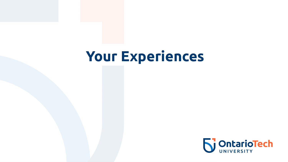### **Your Experiences**

![](_page_18_Picture_1.jpeg)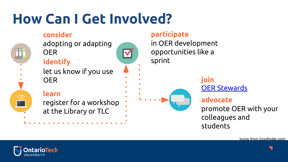# **How Can I Get Involved?**

#### **consider**

adopting or adapting OER

#### **identify**

let us know if you use OER

#### **learn**

register for a workshop at the Library or TLC

#### **participate**

in OER development opportunities like a sprint

![](_page_19_Figure_9.jpeg)

Icons from Iconfinder.com

![](_page_19_Picture_11.jpeg)

Ħ

 $\widehat{\cdot}$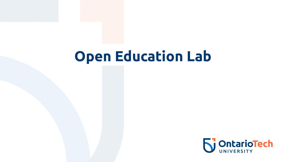# **Open Education Lab**

![](_page_20_Picture_1.jpeg)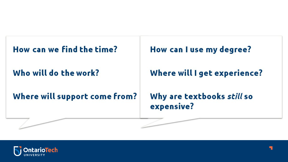![](_page_21_Figure_0.jpeg)

Who will do the work?

Where will support come from?

How can I use my degree?

Where will I get experience?

Why are textbooks still so expensive?

![](_page_21_Picture_6.jpeg)